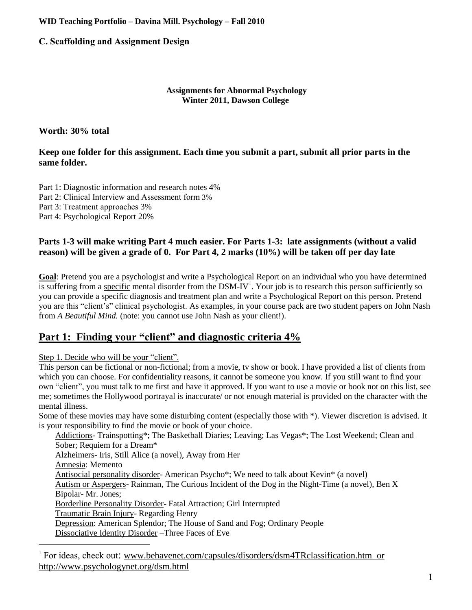## **WID Teaching Portfolio – Davina Mill. Psychology – Fall 2010**

# **C. Scaffolding and Assignment Design**

### **Assignments for Abnormal Psychology Winter 2011, Dawson College**

# **Worth: 30% total**

# **Keep one folder for this assignment. Each time you submit a part, submit all prior parts in the same folder.**

Part 1: Diagnostic information and research notes 4% Part 2: Clinical Interview and Assessment form 3% Part 3: Treatment approaches 3% Part 4: Psychological Report 20%

## **Parts 1-3 will make writing Part 4 much easier. For Parts 1-3: late assignments (without a valid reason) will be given a grade of 0. For Part 4, 2 marks (10%) will be taken off per day late**

**Goal**: Pretend you are a psychologist and write a Psychological Report on an individual who you have determined is suffering from a specific mental disorder from the DSM-IV<sup>1</sup>. Your job is to research this person sufficiently so you can provide a specific diagnosis and treatment plan and write a Psychological Report on this person. Pretend you are this "client's" clinical psychologist. As examples, in your course pack are two student papers on John Nash from *A Beautiful Mind.* (note: you cannot use John Nash as your client!).

# **Part 1: Finding your "client" and diagnostic criteria 4%**

Step 1. Decide who will be your "client".

 $\overline{a}$ 

This person can be fictional or non-fictional; from a movie, tv show or book. I have provided a list of clients from which you can choose. For confidentiality reasons, it cannot be someone you know. If you still want to find your own "client", you must talk to me first and have it approved. If you want to use a movie or book not on this list, see me; sometimes the Hollywood portrayal is inaccurate/ or not enough material is provided on the character with the mental illness.

Some of these movies may have some disturbing content (especially those with \*). Viewer discretion is advised. It is your responsibility to find the movie or book of your choice.

Addictions- Trainspotting\*; The Basketball Diaries; Leaving; Las Vegas\*; The Lost Weekend; Clean and Sober; Requiem for a Dream\* Alzheimers- Iris, Still Alice (a novel), Away from Her Amnesia: Memento Antisocial personality disorder- American Psycho\*; We need to talk about Kevin\* (a novel) Autism or Aspergers- Rainman, The Curious Incident of the Dog in the Night-Time (a novel), Ben X Bipolar- Mr. Jones; Borderline Personality Disorder- Fatal Attraction; Girl Interrupted Traumatic Brain Injury- Regarding Henry Depression: American Splendor; The House of Sand and Fog; Ordinary People Dissociative Identity Disorder –Three Faces of Eve

<sup>1</sup> For ideas, check out: [www.behavenet.com/capsules/disorders/dsm4TRclassification.htm](http://www.behavenet.com/capsules/disorders/dsm4TRclassification.htm) or http://www.psychologynet.org/dsm.html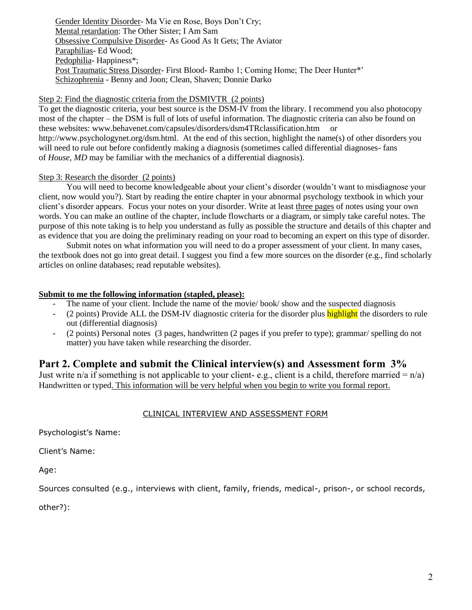Gender Identity Disorder- Ma Vie en Rose, Boys Don't Cry; Mental retardation: The Other Sister; I Am Sam Obsessive Compulsive Disorder- As Good As It Gets; The Aviator Paraphilias- Ed Wood; Pedophilia- Happiness\*; Post Traumatic Stress Disorder- First Blood- Rambo 1; Coming Home; The Deer Hunter\*' Schizophrenia - Benny and Joon; Clean, Shaven; Donnie Darko

#### Step 2: Find the diagnostic criteria from the DSMIVTR (2 points)

To get the diagnostic criteria, your best source is the DSM-IV from the library. I recommend you also photocopy most of the chapter – the DSM is full of lots of useful information. The diagnostic criteria can also be found on these websites: [www.behavenet.com/capsules/disorders/dsm4TRclassification.htm](http://www.behavenet.com/capsules/disorders/dsm4TRclassification.htm) or [http://www.psychologynet.org/dsm.html.](http://www.psychologynet.org/dsm.html) At the end of this section, highlight the name(s) of other disorders you will need to rule out before confidently making a diagnosis (sometimes called differential diagnoses- fans of *House, MD* may be familiar with the mechanics of a differential diagnosis).

### Step 3: Research the disorder (2 points)

You will need to become knowledgeable about your client's disorder (wouldn't want to misdiagnose your client, now would you?). Start by reading the entire chapter in your abnormal psychology textbook in which your client's disorder appears. Focus your notes on your disorder. Write at least three pages of notes using your own words. You can make an outline of the chapter, include flowcharts or a diagram, or simply take careful notes. The purpose of this note taking is to help you understand as fully as possible the structure and details of this chapter and as evidence that you are doing the preliminary reading on your road to becoming an expert on this type of disorder.

Submit notes on what information you will need to do a proper assessment of your client. In many cases, the textbook does not go into great detail. I suggest you find a few more sources on the disorder (e.g., find scholarly articles on online databases; read reputable websites).

## **Submit to me the following information (stapled, please):**

- The name of your client. Include the name of the movie/ book/ show and the suspected diagnosis
- (2 points) Provide ALL the DSM-IV diagnostic criteria for the disorder plus highlight the disorders to rule out (differential diagnosis)
- (2 points) Personal notes (3 pages, handwritten (2 pages if you prefer to type); grammar/ spelling do not matter) you have taken while researching the disorder.

# **Part 2. Complete and submit the Clinical interview(s) and Assessment form 3%**

Just write n/a if something is not applicable to your client- e.g., client is a child, therefore married =  $n/a$ ) Handwritten or typed. This information will be very helpful when you begin to write you formal report.

## CLINICAL INTERVIEW AND ASSESSMENT FORM

Psychologist's Name:

Client's Name:

Age:

Sources consulted (e.g., interviews with client, family, friends, medical-, prison-, or school records,

other?):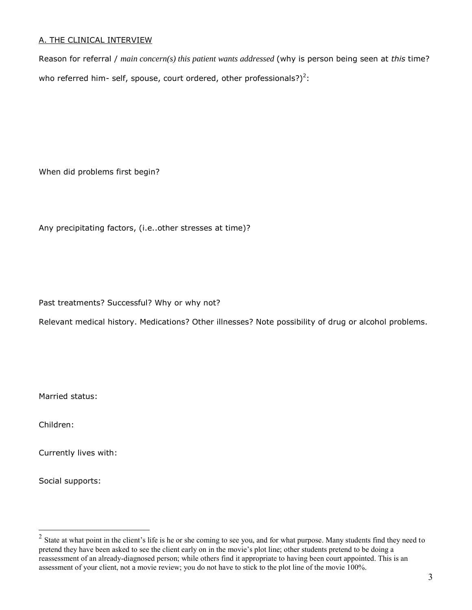## A. THE CLINICAL INTERVIEW

Reason for referral / *main concern(s) this patient wants addressed* (why is person being seen at *this* time? who referred him- self, spouse, court ordered, other professionals?)<sup>2</sup>:

When did problems first begin?

Any precipitating factors, (i.e..other stresses at time)?

Past treatments? Successful? Why or why not?

Relevant medical history. Medications? Other illnesses? Note possibility of drug or alcohol problems.

Married status:

Children:

Currently lives with:

Social supports:

<sup>&</sup>lt;sup>2</sup> State at what point in the client's life is he or she coming to see you, and for what purpose. Many students find they need to pretend they have been asked to see the client early on in the movie's plot line; other students pretend to be doing a reassessment of an already-diagnosed person; while others find it appropriate to having been court appointed. This is an assessment of your client, not a movie review; you do not have to stick to the plot line of the movie 100%.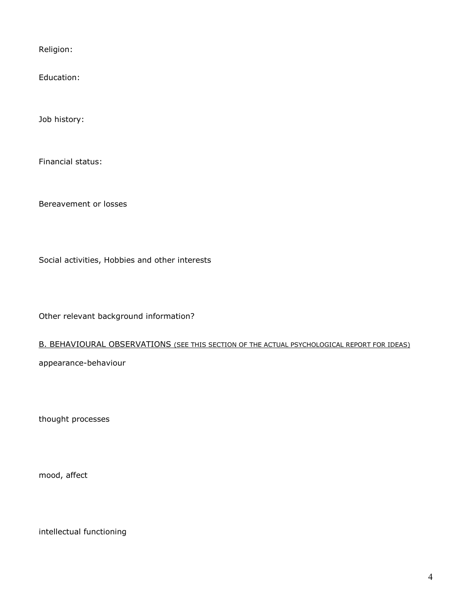Religion:

Education:

Job history:

Financial status:

Bereavement or losses

Social activities, Hobbies and other interests

Other relevant background information?

### B. BEHAVIOURAL OBSERVATIONS (SEE THIS SECTION OF THE ACTUAL PSYCHOLOGICAL REPORT FOR IDEAS)

appearance-behaviour

thought processes

mood, affect

intellectual functioning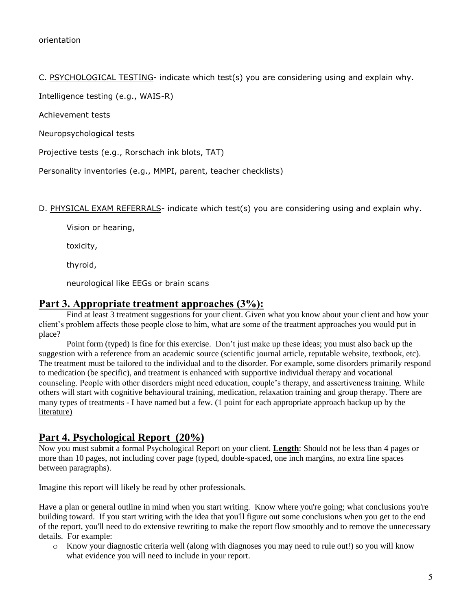C. PSYCHOLOGICAL TESTING- indicate which test(s) you are considering using and explain why.

Intelligence testing (e.g., WAIS-R)

Achievement tests

Neuropsychological tests

Projective tests (e.g., Rorschach ink blots, TAT)

Personality inventories (e.g., MMPI, parent, teacher checklists)

D. PHYSICAL EXAM REFERRALS- indicate which test(s) you are considering using and explain why.

Vision or hearing,

toxicity,

thyroid,

neurological like EEGs or brain scans

## **Part 3. Appropriate treatment approaches (3%):**

Find at least 3 treatment suggestions for your client. Given what you know about your client and how your client's problem affects those people close to him, what are some of the treatment approaches you would put in place?

Point form (typed) is fine for this exercise. Don't just make up these ideas; you must also back up the suggestion with a reference from an academic source (scientific journal article, reputable website, textbook, etc). The treatment must be tailored to the individual and to the disorder. For example, some disorders primarily respond to medication (be specific), and treatment is enhanced with supportive individual therapy and vocational counseling. People with other disorders might need education, couple's therapy, and assertiveness training. While others will start with cognitive behavioural training, medication, relaxation training and group therapy. There are many types of treatments - I have named but a few. (1 point for each appropriate approach backup up by the literature)

# **Part 4. Psychological Report (20%)**

Now you must submit a formal Psychological Report on your client. **Length**: Should not be less than 4 pages or more than 10 pages, not including cover page (typed, double-spaced, one inch margins, no extra line spaces between paragraphs).

Imagine this report will likely be read by other professionals.

Have a plan or general outline in mind when you start writing. Know where you're going; what conclusions you're building toward. If you start writing with the idea that you'll figure out some conclusions when you get to the end of the report, you'll need to do extensive rewriting to make the report flow smoothly and to remove the unnecessary details. For example:

o Know your diagnostic criteria well (along with diagnoses you may need to rule out!) so you will know what evidence you will need to include in your report.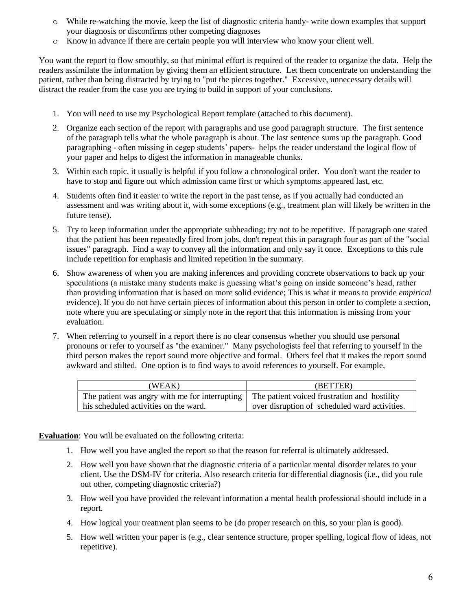- o While re-watching the movie, keep the list of diagnostic criteria handy- write down examples that support your diagnosis or disconfirms other competing diagnoses
- o Know in advance if there are certain people you will interview who know your client well.

You want the report to flow smoothly, so that minimal effort is required of the reader to organize the data. Help the readers assimilate the information by giving them an efficient structure. Let them concentrate on understanding the patient, rather than being distracted by trying to "put the pieces together." Excessive, unnecessary details will distract the reader from the case you are trying to build in support of your conclusions.

- 1. You will need to use my Psychological Report template (attached to this document).
- 2. Organize each section of the report with paragraphs and use good paragraph structure. The first sentence of the paragraph tells what the whole paragraph is about. The last sentence sums up the paragraph. Good paragraphing - often missing in cegep students' papers- helps the reader understand the logical flow of your paper and helps to digest the information in manageable chunks.
- 3. Within each topic, it usually is helpful if you follow a chronological order. You don't want the reader to have to stop and figure out which admission came first or which symptoms appeared last, etc.
- 4. Students often find it easier to write the report in the past tense, as if you actually had conducted an assessment and was writing about it, with some exceptions (e.g., treatment plan will likely be written in the future tense).
- 5. Try to keep information under the appropriate subheading; try not to be repetitive. If paragraph one stated that the patient has been repeatedly fired from jobs, don't repeat this in paragraph four as part of the "social issues" paragraph. Find a way to convey all the information and only say it once. Exceptions to this rule include repetition for emphasis and limited repetition in the summary.
- 6. Show awareness of when you are making inferences and providing concrete observations to back up your speculations (a mistake many students make is guessing what's going on inside someone's head, rather than providing information that is based on more solid evidence; This is what it means to provide *empirical* evidence). If you do not have certain pieces of information about this person in order to complete a section, note where you are speculating or simply note in the report that this information is missing from your evaluation.
- 7. When referring to yourself in a report there is no clear consensus whether you should use personal pronouns or refer to yourself as "the examiner." Many psychologists feel that referring to yourself in the third person makes the report sound more objective and formal. Others feel that it makes the report sound awkward and stilted. One option is to find ways to avoid references to yourself. For example,

| (WEAK)                                         | (BETTER)                                      |
|------------------------------------------------|-----------------------------------------------|
| The patient was angry with me for interrupting | The patient voiced frustration and hostility  |
| his scheduled activities on the ward.          | over disruption of scheduled ward activities. |

**Evaluation**: You will be evaluated on the following criteria:

- 1. How well you have angled the report so that the reason for referral is ultimately addressed.
- 2. How well you have shown that the diagnostic criteria of a particular mental disorder relates to your client. Use the DSM-IV for criteria. Also research criteria for differential diagnosis (i.e., did you rule out other, competing diagnostic criteria?)
- 3. How well you have provided the relevant information a mental health professional should include in a report.
- 4. How logical your treatment plan seems to be (do proper research on this, so your plan is good).
- 5. How well written your paper is (e.g., clear sentence structure, proper spelling, logical flow of ideas, not repetitive).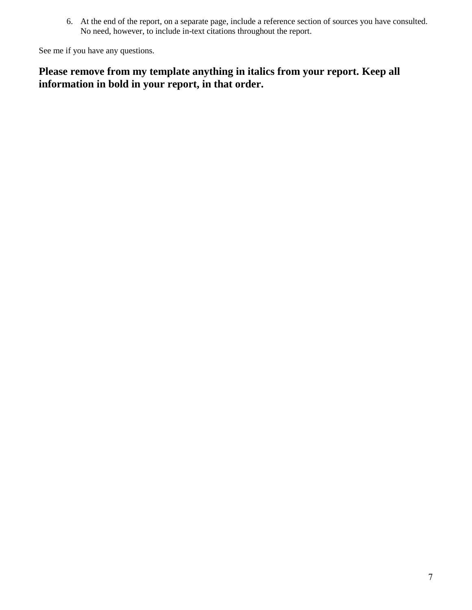6. At the end of the report, on a separate page, include a reference section of sources you have consulted. No need, however, to include in-text citations throughout the report.

See me if you have any questions.

# **Please remove from my template anything in italics from your report. Keep all information in bold in your report, in that order.**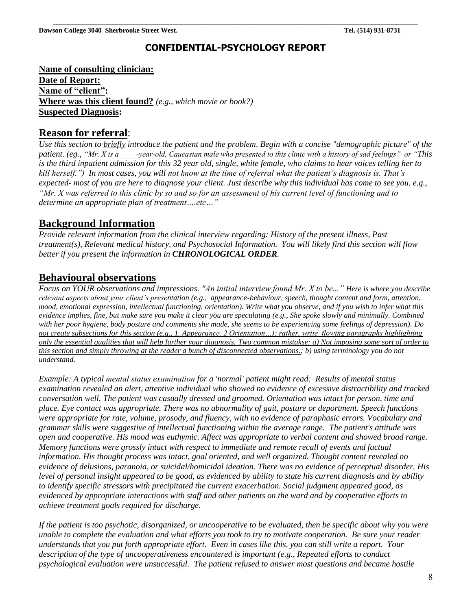# **CONFIDENTIAL-PSYCHOLOGY REPORT**

**Name of consulting clinician: Date of Report: Name of "client": Where was this client found?** *(e.g., which movie or book?)* **Suspected Diagnosis:**

# **Reason for referral**:

*Use this section to briefly introduce the patient and the problem*. *Begin with a concise "demographic picture" of the patient. (eg., "Mr. X is a \_\_\_\_-year-old, Caucasian male who presented to this clinic with a history of sad feelings" or "This is the third inpatient admission for this 32 year old, single, white female, who claims to hear voices telling her to kill herself.") In most cases, you will not know at the time of referral what the patient's diagnosis is. That's expected- most of you are here to diagnose your client. Just describe why this individual has come to see you. e.g., "Mr. X was referred to this clinic by so and so for an assessment of his current level of functioning and to determine an appropriate plan of treatment….etc…"*

# **Background Information**

*Provide relevant information from the clinical interview regarding: History of the present illness, Past treatment(s), Relevant medical history, and Psychosocial Information. You will likely find this section will flow better if you present the information in CHRONOLOGICAL ORDER.*

# **Behavioural observations**

*Focus on YOUR observations and impressions. "An initial interview found Mr. X to be..." Here is where you describe relevant aspects about your client's presentation (e.g., appearance-behaviour, speech, thought content and form, attention, mood, emotional expression, intellectual functioning, orientation). Write what you observe, and if you wish to infer what this evidence implies, fine, but make sure you make it clear you are speculating (e.g., She spoke slowly and minimally. Combined with her poor hygiene, body posture and comments she made, she seems to be experiencing some feelings of depression). Do not create subsections for this section (e.g., 1. Appearance. 2 Orientation…); rather, write flowing paragraphs highlighting only the essential qualities that will help further your diagnosis. Two common mistakse: a) Not imposing some sort of order to this section and simply throwing at the reader a bunch of disconnected observations.; b) using terminology you do not understand.*

*Example: A typical mental status examination for a 'normal' patient might read: Results of mental status examination revealed an alert, attentive individual who showed no evidence of excessive distractibility and tracked conversation well. The patient was casually dressed and groomed. Orientation was intact for person, time and place. Eye contact was appropriate. There was no abnormality of gait, posture or deportment. Speech functions were appropriate for rate, volume, prosody, and fluency, with no evidence of paraphasic errors. Vocabulary and grammar skills were suggestive of intellectual functioning within the average range. The patient's attitude was open and cooperative. His mood was euthymic. Affect was appropriate to verbal content and showed broad range. Memory functions were grossly intact with respect to immediate and remote recall of events and factual information. His thought process was intact, goal oriented, and well organized. Thought content revealed no evidence of delusions, paranoia, or suicidal/homicidal ideation. There was no evidence of perceptual disorder. His level of personal insight appeared to be good, as evidenced by ability to state his current diagnosis and by ability to identify specific stressors with precipitated the current exacerbation. Social judgment appeared good, as evidenced by appropriate interactions with staff and other patients on the ward and by cooperative efforts to achieve treatment goals required for discharge.*

*If the patient is too psychotic, disorganized, or uncooperative to be evaluated, then be specific about why you were unable to complete the evaluation and what efforts you took to try to motivate cooperation. Be sure your reader understands that you put forth appropriate effort. Even in cases like this, you can still write a report. Your description of the type of uncooperativeness encountered is important (e.g., Repeated efforts to conduct psychological evaluation were unsuccessful. The patient refused to answer most questions and became hostile*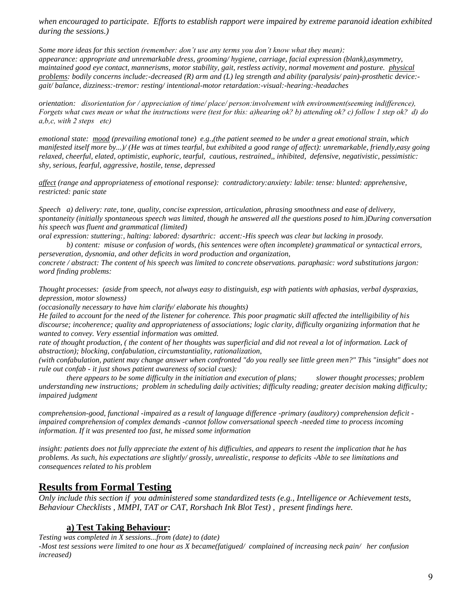*when encouraged to participate. Efforts to establish rapport were impaired by extreme paranoid ideation exhibited during the sessions.)*

*Some more ideas for this section (remember: don't use any terms you don't know what they mean): appearance: appropriate and unremarkable dress, grooming/ hygiene, carriage, facial expression (blank),asymmetry, maintained good eye contact, mannerisms, motor stability, gait, restless activity, normal movement and posture. physical problems: bodily concerns include:-decreased (R) arm and (L) leg strength and ability (paralysis/ pain)-prosthetic device: gait/ balance, dizziness:-tremor: resting/ intentional-motor retardation:-visual:-hearing:-headaches*

*orientation: disorientation for / appreciation of time/ place/ person:involvement with environment(seeming indifference), Forgets what cues mean or what the instructions were (test for this: a)hearing ok? b) attending ok? c) follow 1 step ok? d) do a,b,c, with 2 steps etc)* 

*emotional state: mood (prevailing emotional tone) e.g.,(the patient seemed to be under a great emotional strain, which manifested itself more by...)/ (He was at times tearful, but exhibited a good range of affect): unremarkable, friendly,easy going relaxed, cheerful, elated, optimistic, euphoric, tearful, cautious, restrained,, inhibited, defensive, negativistic, pessimistic: shy, serious, fearful, aggressive, hostile, tense, depressed*

*affect (range and appropriateness of emotional response): contradictory:anxiety: labile: tense: blunted: apprehensive, restricted: panic state*

*Speech a) delivery: rate, tone, quality, concise expression, articulation, phrasing smoothness and ease of delivery, spontaneity (initially spontaneous speech was limited, though he answered all the questions posed to him.)During conversation his speech was fluent and grammatical (limited)* 

*oral expression: stuttering:, halting: labored: dysarthric: accent:-His speech was clear but lacking in prosody.*

*b) content: misuse or confusion of words, (his sentences were often incomplete) grammatical or syntactical errors, perseveration, dysnomia, and other deficits in word production and organization,* 

*concrete / abstract: The content of his speech was limited to concrete observations. paraphasic: word substitutions jargon: word finding problems:*

*Thought processes: (aside from speech, not always easy to distinguish, esp with patients with aphasias, verbal dyspraxias, depression, motor slowness)* 

*(occasionally necessary to have him clarify/ elaborate his thoughts)* 

*He failed to account for the need of the listener for coherence. This poor pragmatic skill affected the intelligibility of his discourse; incoherence; quality and appropriateness of associations; logic clarity, difficulty organizing information that he wanted to convey. Very essential information was omitted.*

*rate of thought production, ( the content of her thoughts was superficial and did not reveal a lot of information. Lack of abstraction); blocking, confabulation, circumstantiality, rationalization,* 

*(with confabulation, patient may change answer when confronted "do you really see little green men?" This "insight" does not rule out confab - it just shows patient awareness of social cues):*

*there appears to be some difficulty in the initiation and execution of plans; slower thought processes; problem understanding new instructions; problem in scheduling daily activities; difficulty reading; greater decision making difficulty; impaired judgment*

*comprehension-good, functional -impaired as a result of language difference -primary (auditory) comprehension deficit impaired comprehension of complex demands -cannot follow conversational speech -needed time to process incoming information. If it was presented too fast, he missed some information* 

*insight: patients does not fully appreciate the extent of his difficulties, and appears to resent the implication that he has problems. As such, his expectations are slightly/ grossly, unrealistic, response to deficits -Able to see limitations and consequences related to his problem*

# **Results from Formal Testing**

*Only include this section if you administered some standardized tests (e.g., Intelligence or Achievement tests, Behaviour Checklists , MMPI, TAT or CAT, Rorshach Ink Blot Test) , present findings here.* 

## **a) Test Taking Behaviour:**

*Testing was completed in X sessions...from (date) to (date) -Most test sessions were limited to one hour as X became(fatigued/ complained of increasing neck pain/ her confusion increased)*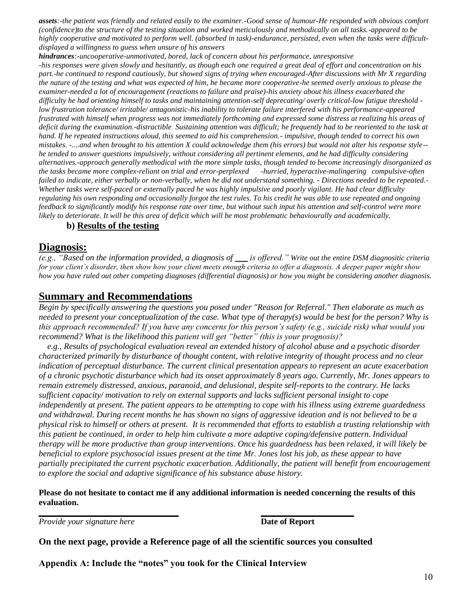*assets:-the patient was friendly and related easily to the examiner.-Good sense of humour-He responded with obvious comfort (confidence)to the structure of the testing situation and worked meticulously and methodically on all tasks.-appeared to be highly cooperative and motivated to perform well. (absorbed in task)-endurance, persisted, even when the tasks were difficultdisplayed a willingness to guess when unsure of his answers*

*hindrances:-uncooperative-unmotivated, bored, lack of concern about his performance, unresponsive -his responses were given slowly and hesitantly, as though each one required a great deal of effort and concentration on his part.-he continued to respond cautiously, but showed signs of trying when encouraged-After discussions with Mr X regarding the nature of the testing and what was expected of him, he became more cooperative-he seemed overly anxious to please the examiner-needed a lot of encouragement (reactions to failure and praise)-his anxiety about his illness exacerbated the difficulty he had orienting himself to tasks and maintaining attention-self deprecating/ overly critical-low fatigue threshold low frustration tolerance/ irritable/ antagonistic-his inability to tolerate failure interfered with his performance-appeared frustrated with himself when progress was not immediately forthcoming and expressed some distress at realizing his areas of deficit during the examination.-distractible Sustaining attention was difficult; he frequently had to be reoriented to the task at hand. If he repeated instructions aloud, this seemed to aid his comprehension.- impulsive, though tended to correct his own mistakes. -....and when brought to his attention X could acknowledge them (his errors) but would not alter his response style- he tended to answer questions impulsively, without considering all pertinent elements, and he had difficulty considering alternatives.-approach generally methodical with the more simple tasks, though tended to become increasingly disorganized as the tasks became more complex-reliant on trial and error-perplexed -hurried, hyperactive-malingering compulsive-often failed to indicate, either verbally or non-verbally, when he did not understand something. - Directions needed to be repeated.- Whether tasks were self-paced or externally paced he was highly impulsive and poorly vigilant. He had clear difficulty regulating his own responding and occasionally forgot the test rules. To his credit he was able to use repeated and ongoing feedback to significantly modify his response rate over time, but without such input his attention and self-control were more likely to deteriorate. It will be this area of deficit which will be most problematic behaviourally and academically.*

#### **b) Results of the testing**

# **Diagnosis:**

*(e.g., "Based on the information provided, a diagnosis of \_\_\_ is offered." Write out the entire DSM diagnositic criteria for your client's disorder, then show how your client meets enough criteria to offer a diagnosis. A deeper paper might show how you have ruled out other competing diagnoses (differential diagnosis) or how you might be considering another diagnosis.*

# **Summary and Recommendations**

*Begin by specifically answering the questions you posed under "Reason for Referral." Then elaborate as much as needed to present your conceptualization of the case. What type of therapy(s) would be best for the person? Why is this approach recommended? If you have any concerns for this person's safety (e.g., suicide risk) what would you recommend? What is the likelihood this patient will get "better" (this is your prognosis)?*

*e.g., Results of psychological evaluation reveal an extended history of alcohol abuse and a psychotic disorder characterized primarily by disturbance of thought content, with relative integrity of thought process and no clear indication of perceptual disturbance. The current clinical presentation appears to represent an acute exacerbation of a chronic psychotic disturbance which had its onset approximately 8 years ago. Currently, Mr. Jones appears to remain extremely distressed, anxious, paranoid, and delusional, despite self-reports to the contrary. He lacks sufficient capacity/ motivation to rely on external supports and lacks sufficient personal insight to cope independently at present. The patient appears to be attempting to cope with his illness using extreme guardedness and withdrawal. During recent months he has shown no signs of aggressive ideation and is not believed to be a physical risk to himself or others at present. It is recommended that efforts to establish a trusting relationship with this patient be continued, in order to help him cultivate a more adaptive coping/defensive pattern. Individual therapy will be more productive than group interventions. Once his guardedness has been relaxed, it will likely be beneficial to explore psychosocial issues present at the time Mr. Jones lost his job, as these appear to have partially precipitated the current psychotic exacerbation. Additionally, the patient will benefit from encouragement to explore the social and adaptive significance of his substance abuse history.*

#### **Please do not hesitate to contact me if any additional information is needed concerning the results of this evaluation.**

*Provide your signature here* **Date of Report** 

**On the next page, provide a Reference page of all the scientific sources you consulted**

**\_\_\_\_\_\_\_\_\_\_\_\_\_\_\_\_\_\_\_\_\_\_\_\_\_\_\_\_\_\_\_\_\_ \_\_\_\_\_\_\_\_\_\_\_\_\_\_\_\_\_\_\_\_\_\_**

**Appendix A: Include the "notes" you took for the Clinical Interview**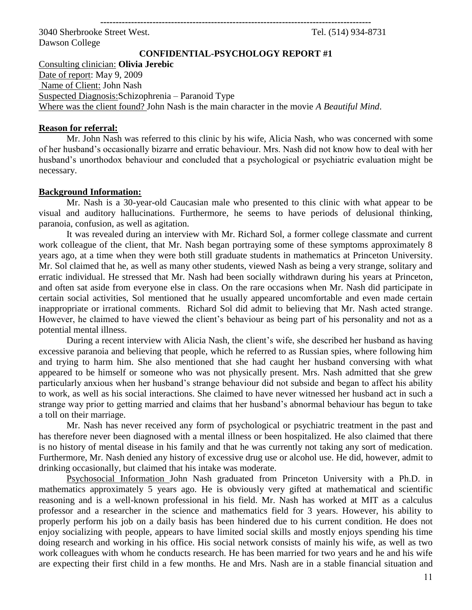**----------------------------------------------------------------------------------------**

3040 Sherbrooke Street West. Tel. (514) 934-8731 Dawson College

**CONFIDENTIAL-PSYCHOLOGY REPORT #1**

Consulting clinician: **Olivia Jerebic** Date of report: May 9, 2009 Name of Client: John Nash Suspected Diagnosis:Schizophrenia – Paranoid Type Where was the client found? John Nash is the main character in the movie *A Beautiful Mind*.

### **Reason for referral:**

Mr. John Nash was referred to this clinic by his wife, Alicia Nash, who was concerned with some of her husband's occasionally bizarre and erratic behaviour. Mrs. Nash did not know how to deal with her husband's unorthodox behaviour and concluded that a psychological or psychiatric evaluation might be necessary.

## **Background Information:**

Mr. Nash is a 30-year-old Caucasian male who presented to this clinic with what appear to be visual and auditory hallucinations. Furthermore, he seems to have periods of delusional thinking, paranoia, confusion, as well as agitation.

It was revealed during an interview with Mr. Richard Sol, a former college classmate and current work colleague of the client, that Mr. Nash began portraying some of these symptoms approximately 8 years ago, at a time when they were both still graduate students in mathematics at Princeton University. Mr. Sol claimed that he, as well as many other students, viewed Nash as being a very strange, solitary and erratic individual. He stressed that Mr. Nash had been socially withdrawn during his years at Princeton, and often sat aside from everyone else in class. On the rare occasions when Mr. Nash did participate in certain social activities, Sol mentioned that he usually appeared uncomfortable and even made certain inappropriate or irrational comments. Richard Sol did admit to believing that Mr. Nash acted strange. However, he claimed to have viewed the client's behaviour as being part of his personality and not as a potential mental illness.

During a recent interview with Alicia Nash, the client's wife, she described her husband as having excessive paranoia and believing that people, which he referred to as Russian spies, where following him and trying to harm him. She also mentioned that she had caught her husband conversing with what appeared to be himself or someone who was not physically present. Mrs. Nash admitted that she grew particularly anxious when her husband's strange behaviour did not subside and began to affect his ability to work, as well as his social interactions. She claimed to have never witnessed her husband act in such a strange way prior to getting married and claims that her husband's abnormal behaviour has begun to take a toll on their marriage.

Mr. Nash has never received any form of psychological or psychiatric treatment in the past and has therefore never been diagnosed with a mental illness or been hospitalized. He also claimed that there is no history of mental disease in his family and that he was currently not taking any sort of medication. Furthermore, Mr. Nash denied any history of excessive drug use or alcohol use. He did, however, admit to drinking occasionally, but claimed that his intake was moderate.

Psychosocial Information John Nash graduated from Princeton University with a Ph.D. in mathematics approximately 5 years ago. He is obviously very gifted at mathematical and scientific reasoning and is a well-known professional in his field. Mr. Nash has worked at MIT as a calculus professor and a researcher in the science and mathematics field for 3 years. However, his ability to properly perform his job on a daily basis has been hindered due to his current condition. He does not enjoy socializing with people, appears to have limited social skills and mostly enjoys spending his time doing research and working in his office. His social network consists of mainly his wife, as well as two work colleagues with whom he conducts research. He has been married for two years and he and his wife are expecting their first child in a few months. He and Mrs. Nash are in a stable financial situation and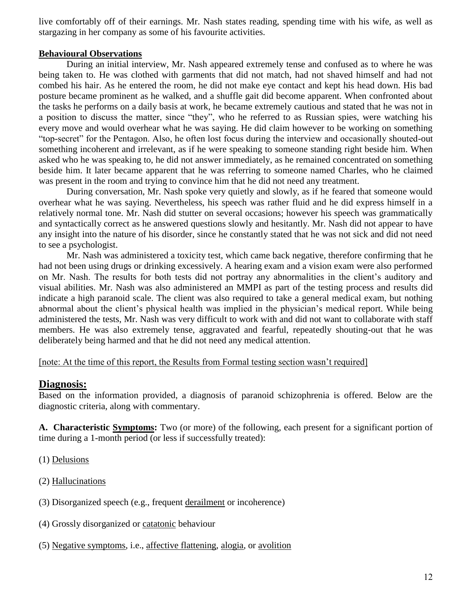live comfortably off of their earnings. Mr. Nash states reading, spending time with his wife, as well as stargazing in her company as some of his favourite activities.

## **Behavioural Observations**

During an initial interview, Mr. Nash appeared extremely tense and confused as to where he was being taken to. He was clothed with garments that did not match, had not shaved himself and had not combed his hair. As he entered the room, he did not make eye contact and kept his head down. His bad posture became prominent as he walked, and a shuffle gait did become apparent. When confronted about the tasks he performs on a daily basis at work, he became extremely cautious and stated that he was not in a position to discuss the matter, since "they", who he referred to as Russian spies, were watching his every move and would overhear what he was saying. He did claim however to be working on something "top-secret" for the Pentagon. Also, he often lost focus during the interview and occasionally shouted-out something incoherent and irrelevant, as if he were speaking to someone standing right beside him. When asked who he was speaking to, he did not answer immediately, as he remained concentrated on something beside him. It later became apparent that he was referring to someone named Charles, who he claimed was present in the room and trying to convince him that he did not need any treatment.

During conversation, Mr. Nash spoke very quietly and slowly, as if he feared that someone would overhear what he was saying. Nevertheless, his speech was rather fluid and he did express himself in a relatively normal tone. Mr. Nash did stutter on several occasions; however his speech was grammatically and syntactically correct as he answered questions slowly and hesitantly. Mr. Nash did not appear to have any insight into the nature of his disorder, since he constantly stated that he was not sick and did not need to see a psychologist.

Mr. Nash was administered a toxicity test, which came back negative, therefore confirming that he had not been using drugs or drinking excessively. A hearing exam and a vision exam were also performed on Mr. Nash. The results for both tests did not portray any abnormalities in the client's auditory and visual abilities. Mr. Nash was also administered an MMPI as part of the testing process and results did indicate a high paranoid scale. The client was also required to take a general medical exam, but nothing abnormal about the client's physical health was implied in the physician's medical report. While being administered the tests, Mr. Nash was very difficult to work with and did not want to collaborate with staff members. He was also extremely tense, aggravated and fearful, repeatedly shouting-out that he was deliberately being harmed and that he did not need any medical attention.

[note: At the time of this report, the Results from Formal testing section wasn't required]

## **Diagnosis:**

Based on the information provided, a diagnosis of paranoid schizophrenia is offered. Below are the diagnostic criteria, along with commentary.

**A. Characteristic [Symptoms:](http://www.behavenet.com/capsules/disorders/symptoms.htm)** Two (or more) of the following, each present for a significant portion of time during a 1-month period (or less if successfully treated):

(1) [Delusions](http://www.behavenet.com/capsules/disorders/delusion.htm)

(2) [Hallucinations](http://www.behavenet.com/capsules/disorders/hallucination.htm)

- (3) Disorganized speech (e.g., frequent [derailment](http://www.behavenet.com/capsules/path/derailment.htm) or incoherence)
- (4) Grossly disorganized or [catatonic](http://www.behavenet.com/capsules/path/catatonia.htm) behaviour
- (5) [Negative symptoms,](http://www.behavenet.com/capsules/path/negativesymptoms.htm) i.e., [affective flattening,](http://www.behavenet.com/capsules/path/flataffect.htm) [alogia,](http://www.behavenet.com/capsules/path/alogia.htm) or [avolition](http://www.behavenet.com/capsules/path/avolition.htm)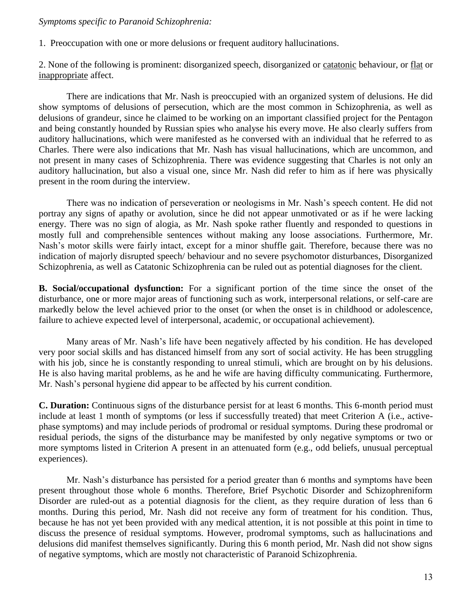### *Symptoms specific to Paranoid Schizophrenia:*

1. Preoccupation with one or more delusions or frequent auditory hallucinations.

2. None of the following is prominent: disorganized speech, disorganized or [catatonic](http://www.behavenet.com/capsules/path/catatonia.htm) behaviour, or [flat](http://www.behavenet.com/capsules/path/flataffect.htm) or [inappropriate](http://www.behavenet.com/capsules/path/inappropriateaffect.htm) affect.

There are indications that Mr. Nash is preoccupied with an organized system of delusions. He did show symptoms of delusions of persecution, which are the most common in Schizophrenia, as well as delusions of grandeur, since he claimed to be working on an important classified project for the Pentagon and being constantly hounded by Russian spies who analyse his every move. He also clearly suffers from auditory hallucinations, which were manifested as he conversed with an individual that he referred to as Charles. There were also indications that Mr. Nash has visual hallucinations, which are uncommon, and not present in many cases of Schizophrenia. There was evidence suggesting that Charles is not only an auditory hallucination, but also a visual one, since Mr. Nash did refer to him as if here was physically present in the room during the interview.

There was no indication of perseveration or neologisms in Mr. Nash's speech content. He did not portray any signs of apathy or avolution, since he did not appear unmotivated or as if he were lacking energy. There was no sign of alogia, as Mr. Nash spoke rather fluently and responded to questions in mostly full and comprehensible sentences without making any loose associations. Furthermore, Mr. Nash's motor skills were fairly intact, except for a minor shuffle gait. Therefore, because there was no indication of majorly disrupted speech/ behaviour and no severe psychomotor disturbances, Disorganized Schizophrenia, as well as Catatonic Schizophrenia can be ruled out as potential diagnoses for the client.

**B. Social/occupational dysfunction:** For a significant portion of the time since the onset of the disturbance, one or more major areas of functioning such as work, interpersonal relations, or self-care are markedly below the level achieved prior to the onset (or when the onset is in childhood or adolescence, failure to achieve expected level of interpersonal, academic, or occupational achievement).

Many areas of Mr. Nash's life have been negatively affected by his condition. He has developed very poor social skills and has distanced himself from any sort of social activity. He has been struggling with his job, since he is constantly responding to unreal stimuli, which are brought on by his delusions. He is also having marital problems, as he and he wife are having difficulty communicating. Furthermore, Mr. Nash's personal hygiene did appear to be affected by his current condition.

**C. Duration:** Continuous signs of the disturbance persist for at least 6 months. This 6-month period must include at least 1 month of [symptoms](http://www.behavenet.com/capsules/disorders/symptoms.htm) (or less if successfully treated) that meet Criterion A (i.e., activephase symptoms) and may include periods of [prodromal](http://www.behavenet.com/capsules/path/prodromal.htm) or residual symptoms. During these prodromal or residual periods, the signs of the disturbance may be manifested by only negative symptoms or two or more symptoms listed in Criterion A present in an attenuated form (e.g., odd beliefs, unusual perceptual experiences).

Mr. Nash's disturbance has persisted for a period greater than 6 months and symptoms have been present throughout those whole 6 months. Therefore, Brief Psychotic Disorder and Schizophreniform Disorder are ruled-out as a potential diagnosis for the client, as they require duration of less than 6 months. During this period, Mr. Nash did not receive any form of treatment for his condition. Thus, because he has not yet been provided with any medical attention, it is not possible at this point in time to discuss the presence of residual symptoms. However, prodromal symptoms, such as hallucinations and delusions did manifest themselves significantly. During this 6 month period, Mr. Nash did not show signs of negative symptoms, which are mostly not characteristic of Paranoid Schizophrenia.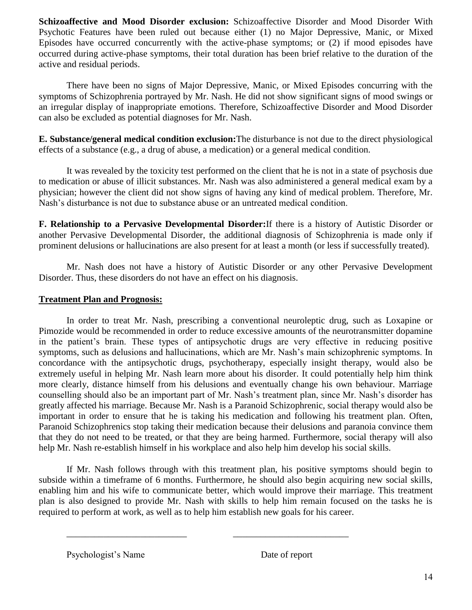**[Schizoaffective](http://www.behavenet.com/capsules/disorders/schizoaffectivedis.htm) and [Mood Disorder](http://www.behavenet.com/capsules/disorders/moodis.htm) exclusion:** Schizoaffective Disorder and Mood Disorder With Psychotic Features have been ruled out because either (1) no [Major Depressive,](http://www.behavenet.com/capsules/disorders/mixedep.htm) [Manic,](http://www.behavenet.com/capsules/disorders/manicep.htm) or [Mixed](http://www.behavenet.com/capsules/disorders/mixedep.htm) Episodes have occurred concurrently with the active-phase symptoms; or (2) if mood episodes have occurred during active-phase symptoms, their total duration has been brief relative to the duration of the active and residual periods.

There have been no signs of Major Depressive, Manic, or Mixed Episodes concurring with the symptoms of Schizophrenia portrayed by Mr. Nash. He did not show significant signs of mood swings or an irregular display of inappropriate emotions. Therefore, Schizoaffective Disorder and Mood Disorder can also be excluded as potential diagnoses for Mr. Nash.

**E. Substance/general medical condition exclusion:**The disturbance is not due to the direct physiological effects of a [substance](http://www.behavenet.com/capsules/treatments/drugs/drug.htm) (e.g., a drug of abuse, a medication) or a general medical condition.

It was revealed by the toxicity test performed on the client that he is not in a state of psychosis due to medication or abuse of illicit substances. Mr. Nash was also administered a general medical exam by a physician; however the client did not show signs of having any kind of medical problem. Therefore, Mr. Nash's disturbance is not due to substance abuse or an untreated medical condition.

**F. Relationship to a [Pervasive Developmental Disorder:](http://www.behavenet.com/capsules/disorders/pdd.htm)**If there is a history of [Autistic Disorder](http://www.behavenet.com/capsules/disorders/autistic.htm) or another Pervasive Developmental Disorder, the additional diagnosis of Schizophrenia is made only if prominent delusions or hallucinations are also present for at least a month (or less if successfully treated).

Mr. Nash does not have a history of Autistic Disorder or any other Pervasive Development Disorder. Thus, these disorders do not have an effect on his diagnosis.

## **Treatment Plan and Prognosis:**

In order to treat Mr. Nash, prescribing a conventional neuroleptic drug, such as Loxapine or Pimozide would be recommended in order to reduce excessive amounts of the neurotransmitter dopamine in the patient's brain. These types of antipsychotic drugs are very effective in reducing positive symptoms, such as delusions and hallucinations, which are Mr. Nash's main schizophrenic symptoms. In concordance with the antipsychotic drugs, psychotherapy, especially insight therapy, would also be extremely useful in helping Mr. Nash learn more about his disorder. It could potentially help him think more clearly, distance himself from his delusions and eventually change his own behaviour. Marriage counselling should also be an important part of Mr. Nash's treatment plan, since Mr. Nash's disorder has greatly affected his marriage. Because Mr. Nash is a Paranoid Schizophrenic, social therapy would also be important in order to ensure that he is taking his medication and following his treatment plan. Often, Paranoid Schizophrenics stop taking their medication because their delusions and paranoia convince them that they do not need to be treated, or that they are being harmed. Furthermore, social therapy will also help Mr. Nash re-establish himself in his workplace and also help him develop his social skills.

If Mr. Nash follows through with this treatment plan, his positive symptoms should begin to subside within a timeframe of 6 months. Furthermore, he should also begin acquiring new social skills, enabling him and his wife to communicate better, which would improve their marriage. This treatment plan is also designed to provide Mr. Nash with skills to help him remain focused on the tasks he is required to perform at work, as well as to help him establish new goals for his career.

\_\_\_\_\_\_\_\_\_\_\_\_\_\_\_\_\_\_\_\_\_\_\_\_\_\_ \_\_\_\_\_\_\_\_\_\_\_\_\_\_\_\_\_\_\_\_\_\_\_\_\_

Psychologist's Name Date of report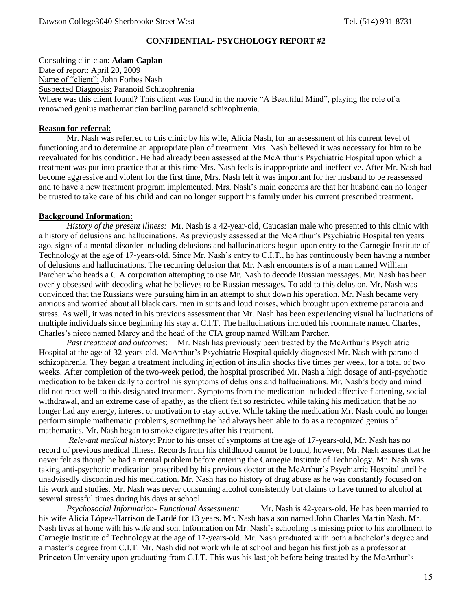#### **CONFIDENTIAL- PSYCHOLOGY REPORT #2**

Consulting clinician: **Adam Caplan**

Date of report: April 20, 2009 Name of "client": John Forbes Nash Suspected Diagnosis: Paranoid Schizophrenia Where was this client found? This client was found in the movie "A Beautiful Mind", playing the role of a renowned genius mathematician battling paranoid schizophrenia.

#### **Reason for referral**:

Mr. Nash was referred to this clinic by his wife, Alicia Nash, for an assessment of his current level of functioning and to determine an appropriate plan of treatment. Mrs. Nash believed it was necessary for him to be reevaluated for his condition. He had already been assessed at the McArthur's Psychiatric Hospital upon which a treatment was put into practice that at this time Mrs. Nash feels is inappropriate and ineffective. After Mr. Nash had become aggressive and violent for the first time, Mrs. Nash felt it was important for her husband to be reassessed and to have a new treatment program implemented. Mrs. Nash's main concerns are that her husband can no longer be trusted to take care of his child and can no longer support his family under his current prescribed treatment.

#### **Background Information:**

*History of the present illness:* Mr. Nash is a 42-year-old, Caucasian male who presented to this clinic with a history of delusions and hallucinations. As previously assessed at the McArthur's Psychiatric Hospital ten years ago, signs of a mental disorder including delusions and hallucinations begun upon entry to the Carnegie Institute of Technology at the age of 17-years-old. Since Mr. Nash's entry to C.I.T., he has continuously been having a number of delusions and hallucinations. The recurring delusion that Mr. Nash encounters is of a man named William Parcher who heads a CIA corporation attempting to use Mr. Nash to decode Russian messages. Mr. Nash has been overly obsessed with decoding what he believes to be Russian messages. To add to this delusion, Mr. Nash was convinced that the Russians were pursuing him in an attempt to shut down his operation. Mr. Nash became very anxious and worried about all black cars, men in suits and loud noises, which brought upon extreme paranoia and stress. As well, it was noted in his previous assessment that Mr. Nash has been experiencing visual hallucinations of multiple individuals since beginning his stay at C.I.T. The hallucinations included his roommate named Charles, Charles's niece named Marcy and the head of the CIA group named William Parcher.

*Past treatment and outcomes*: Mr. Nash has previously been treated by the McArthur's Psychiatric Hospital at the age of 32-years-old. McArthur's Psychiatric Hospital quickly diagnosed Mr. Nash with paranoid schizophrenia. They began a treatment including injection of insulin shocks five times per week, for a total of two weeks. After completion of the two-week period, the hospital proscribed Mr. Nash a high dosage of anti-psychotic medication to be taken daily to control his symptoms of delusions and hallucinations. Mr. Nash's body and mind did not react well to this designated treatment. Symptoms from the medication included affective flattening, social withdrawal, and an extreme case of apathy, as the client felt so restricted while taking his medication that he no longer had any energy, interest or motivation to stay active. While taking the medication Mr. Nash could no longer perform simple mathematic problems, something he had always been able to do as a recognized genius of mathematics. Mr. Nash began to smoke cigarettes after his treatment.

*Relevant medical history*: Prior to his onset of symptoms at the age of 17-years-old, Mr. Nash has no record of previous medical illness. Records from his childhood cannot be found, however, Mr. Nash assures that he never felt as though he had a mental problem before entering the Carnegie Institute of Technology. Mr. Nash was taking anti-psychotic medication proscribed by his previous doctor at the McArthur's Psychiatric Hospital until he unadvisedly discontinued his medication. Mr. Nash has no history of drug abuse as he was constantly focused on his work and studies. Mr. Nash was never consuming alcohol consistently but claims to have turned to alcohol at several stressful times during his days at school.

*Psychosocial Information- Functional Assessment:* Mr. Nash is 42-years-old. He has been married to his wife Alicia López-Harrison de Lardé for 13 years. Mr. Nash has a son named John Charles Martin Nash. Mr. Nash lives at home with his wife and son. Information on Mr. Nash's schooling is missing prior to his enrollment to Carnegie Institute of Technology at the age of 17-years-old. Mr. Nash graduated with both a bachelor's degree and a master's degree from C.I.T. Mr. Nash did not work while at school and began his first job as a professor at Princeton University upon graduating from C.I.T. This was his last job before being treated by the McArthur's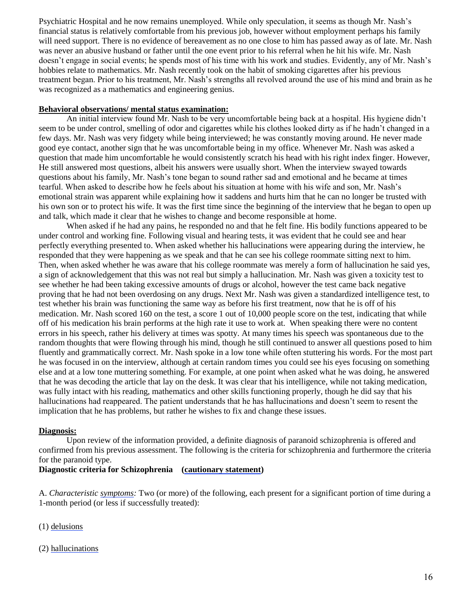Psychiatric Hospital and he now remains unemployed. While only speculation, it seems as though Mr. Nash's financial status is relatively comfortable from his previous job, however without employment perhaps his family will need support. There is no evidence of bereavement as no one close to him has passed away as of late. Mr. Nash was never an abusive husband or father until the one event prior to his referral when he hit his wife. Mr. Nash doesn't engage in social events; he spends most of his time with his work and studies. Evidently, any of Mr. Nash's hobbies relate to mathematics. Mr. Nash recently took on the habit of smoking cigarettes after his previous treatment began. Prior to his treatment, Mr. Nash's strengths all revolved around the use of his mind and brain as he was recognized as a mathematics and engineering genius.

#### **Behavioral observations/ mental status examination:**

An initial interview found Mr. Nash to be very uncomfortable being back at a hospital. His hygiene didn't seem to be under control, smelling of odor and cigarettes while his clothes looked dirty as if he hadn't changed in a few days. Mr. Nash was very fidgety while being interviewed; he was constantly moving around. He never made good eye contact, another sign that he was uncomfortable being in my office. Whenever Mr. Nash was asked a question that made him uncomfortable he would consistently scratch his head with his right index finger. However, He still answered most questions, albeit his answers were usually short. When the interview swayed towards questions about his family, Mr. Nash's tone began to sound rather sad and emotional and he became at times tearful. When asked to describe how he feels about his situation at home with his wife and son, Mr. Nash's emotional strain was apparent while explaining how it saddens and hurts him that he can no longer be trusted with his own son or to protect his wife. It was the first time since the beginning of the interview that he began to open up and talk, which made it clear that he wishes to change and become responsible at home.

When asked if he had any pains, he responded no and that he felt fine. His bodily functions appeared to be under control and working fine. Following visual and hearing tests, it was evident that he could see and hear perfectly everything presented to. When asked whether his hallucinations were appearing during the interview, he responded that they were happening as we speak and that he can see his college roommate sitting next to him. Then, when asked whether he was aware that his college roommate was merely a form of hallucination he said yes, a sign of acknowledgement that this was not real but simply a hallucination. Mr. Nash was given a toxicity test to see whether he had been taking excessive amounts of drugs or alcohol, however the test came back negative proving that he had not been overdosing on any drugs. Next Mr. Nash was given a standardized intelligence test, to test whether his brain was functioning the same way as before his first treatment, now that he is off of his medication. Mr. Nash scored 160 on the test, a score 1 out of 10,000 people score on the test, indicating that while off of his medication his brain performs at the high rate it use to work at. When speaking there were no content errors in his speech, rather his delivery at times was spotty. At many times his speech was spontaneous due to the random thoughts that were flowing through his mind, though he still continued to answer all questions posed to him fluently and grammatically correct. Mr. Nash spoke in a low tone while often stuttering his words. For the most part he was focused in on the interview, although at certain random times you could see his eyes focusing on something else and at a low tone muttering something. For example, at one point when asked what he was doing, he answered that he was decoding the article that lay on the desk. It was clear that his intelligence, while not taking medication, was fully intact with his reading, mathematics and other skills functioning properly, though he did say that his hallucinations had reappeared. The patient understands that he has hallucinations and doesn't seem to resent the implication that he has problems, but rather he wishes to fix and change these issues.

#### **Diagnosis:**

Upon review of the information provided, a definite diagnosis of paranoid schizophrenia is offered and confirmed from his previous assessment. The following is the criteria for schizophrenia and furthermore the criteria for the paranoid type.

### **Diagnostic criteria for Schizophrenia [\(cautionary statement\)](http://www.behavenet.com/capsules/disorders/cautionary.htm)**

A. *Characteristic [symptoms:](http://www.behavenet.com/capsules/disorders/symptoms.htm)* Two (or more) of the following, each present for a significant portion of time during a 1-month period (or less if successfully treated):

- (1) [delusions](http://www.behavenet.com/capsules/disorders/delusion.htm)
- (2) [hallucinations](http://www.behavenet.com/capsules/disorders/hallucination.htm)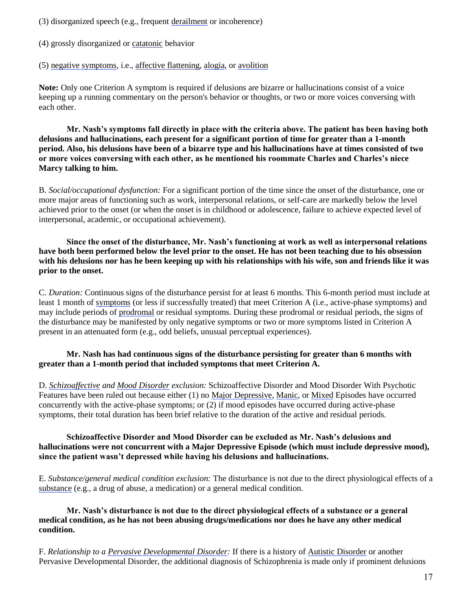(3) disorganized speech (e.g., frequent [derailment](http://www.behavenet.com/capsules/path/derailment.htm) or incoherence)

- (4) grossly disorganized or [catatonic](http://www.behavenet.com/capsules/path/catatonia.htm) behavior
- (5) [negative symptoms,](http://www.behavenet.com/capsules/path/negativesymptoms.htm) i.e.[, affective flattening,](http://www.behavenet.com/capsules/path/flataffect.htm) [alogia,](http://www.behavenet.com/capsules/path/alogia.htm) or [avolition](http://www.behavenet.com/capsules/path/avolition.htm)

**Note:** Only one Criterion A symptom is required if delusions are bizarre or hallucinations consist of a voice keeping up a running commentary on the person's behavior or thoughts, or two or more voices conversing with each other.

**Mr. Nash's symptoms fall directly in place with the criteria above. The patient has been having both delusions and hallucinations, each present for a significant portion of time for greater than a 1-month period. Also, his delusions have been of a bizarre type and his hallucinations have at times consisted of two or more voices conversing with each other, as he mentioned his roommate Charles and Charles's niece Marcy talking to him.**

B. *Social/occupational dysfunction:* For a significant portion of the time since the onset of the disturbance, one or more major areas of functioning such as work, interpersonal relations, or self-care are markedly below the level achieved prior to the onset (or when the onset is in childhood or adolescence, failure to achieve expected level of interpersonal, academic, or occupational achievement).

**Since the onset of the disturbance, Mr. Nash's functioning at work as well as interpersonal relations have both been performed below the level prior to the onset. He has not been teaching due to his obsession with his delusions nor has he been keeping up with his relationships with his wife, son and friends like it was prior to the onset.**

C. *Duration:* Continuous signs of the disturbance persist for at least 6 months. This 6-month period must include at least 1 month of [symptoms](http://www.behavenet.com/capsules/disorders/symptoms.htm) (or less if successfully treated) that meet Criterion A (i.e., active-phase symptoms) and may include periods of [prodromal](http://www.behavenet.com/capsules/path/prodromal.htm) or residual symptoms. During these prodromal or residual periods, the signs of the disturbance may be manifested by only negative symptoms or two or more symptoms listed in Criterion A present in an attenuated form (e.g., odd beliefs, unusual perceptual experiences).

### **Mr. Nash has had continuous signs of the disturbance persisting for greater than 6 months with greater than a 1-month period that included symptoms that meet Criterion A.**

D. *[Schizoaffective](http://www.behavenet.com/capsules/disorders/schizoaffectivedis.htm) and [Mood Disorder](http://www.behavenet.com/capsules/disorders/moodis.htm) exclusion:* Schizoaffective Disorder and Mood Disorder With Psychotic Features have been ruled out because either (1) no [Major Depressive,](http://www.behavenet.com/capsules/disorders/mixedep.htm) [Manic,](http://www.behavenet.com/capsules/disorders/manicep.htm) or [Mixed](http://www.behavenet.com/capsules/disorders/mixedep.htm) Episodes have occurred concurrently with the active-phase symptoms; or (2) if mood episodes have occurred during active-phase symptoms, their total duration has been brief relative to the duration of the active and residual periods.

### **Schizoaffective Disorder and Mood Disorder can be excluded as Mr. Nash's delusions and hallucinations were not concurrent with a Major Depressive Episode (which must include depressive mood), since the patient wasn't depressed while having his delusions and hallucinations.**

E. *Substance/general medical condition exclusion:* The disturbance is not due to the direct physiological effects of a [substance](http://www.behavenet.com/capsules/treatments/drugs/drug.htm) (e.g., a drug of abuse, a medication) or a general medical condition.

### **Mr. Nash's disturbance is not due to the direct physiological effects of a substance or a general medical condition, as he has not been abusing drugs/medications nor does he have any other medical condition.**

F. *Relationship to a [Pervasive Developmental Disorder:](http://www.behavenet.com/capsules/disorders/pdd.htm)* If there is a history of [Autistic Disorder](http://www.behavenet.com/capsules/disorders/autistic.htm) or another Pervasive Developmental Disorder, the additional diagnosis of Schizophrenia is made only if prominent delusions